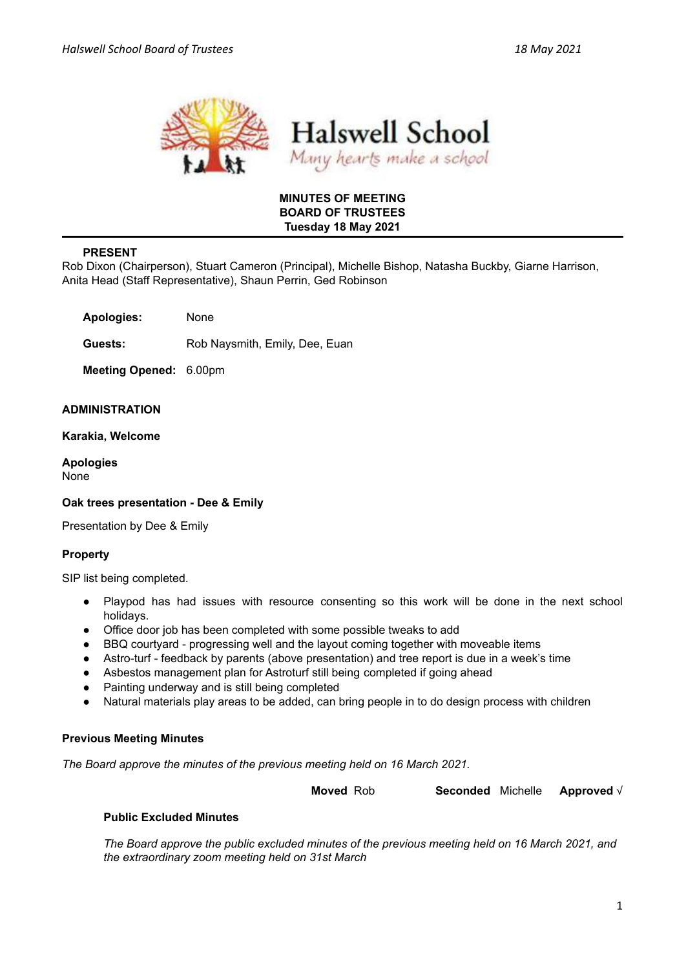



## **MINUTES OF MEETING BOARD OF TRUSTEES Tuesday 18 May 2021**

# **PRESENT**

Rob Dixon (Chairperson), Stuart Cameron (Principal), Michelle Bishop, Natasha Buckby, Giarne Harrison, Anita Head (Staff Representative), Shaun Perrin, Ged Robinson

**Apologies:** None

**Guests:** Rob Naysmith, Emily, Dee, Euan

**Meeting Opened:** 6.00pm

#### **ADMINISTRATION**

**Karakia, Welcome**

**Apologies** None

## **Oak trees presentation - Dee & Emily**

Presentation by Dee & Emily

## **Property**

SIP list being completed.

- Playpod has had issues with resource consenting so this work will be done in the next school holidays.
- Office door job has been completed with some possible tweaks to add
- BBQ courtyard progressing well and the layout coming together with moveable items
- Astro-turf feedback by parents (above presentation) and tree report is due in a week's time
- Asbestos management plan for Astroturf still being completed if going ahead
- Painting underway and is still being completed
- Natural materials play areas to be added, can bring people in to do design process with children

#### **Previous Meeting Minutes**

*The Board approve the minutes of the previous meeting held on 16 March 2021.*

**Moved** Rob **Seconded** Michelle **Approved** √

#### **Public Excluded Minutes**

*The Board approve the public excluded minutes of the previous meeting held on 16 March 2021, and the extraordinary zoom meeting held on 31st March*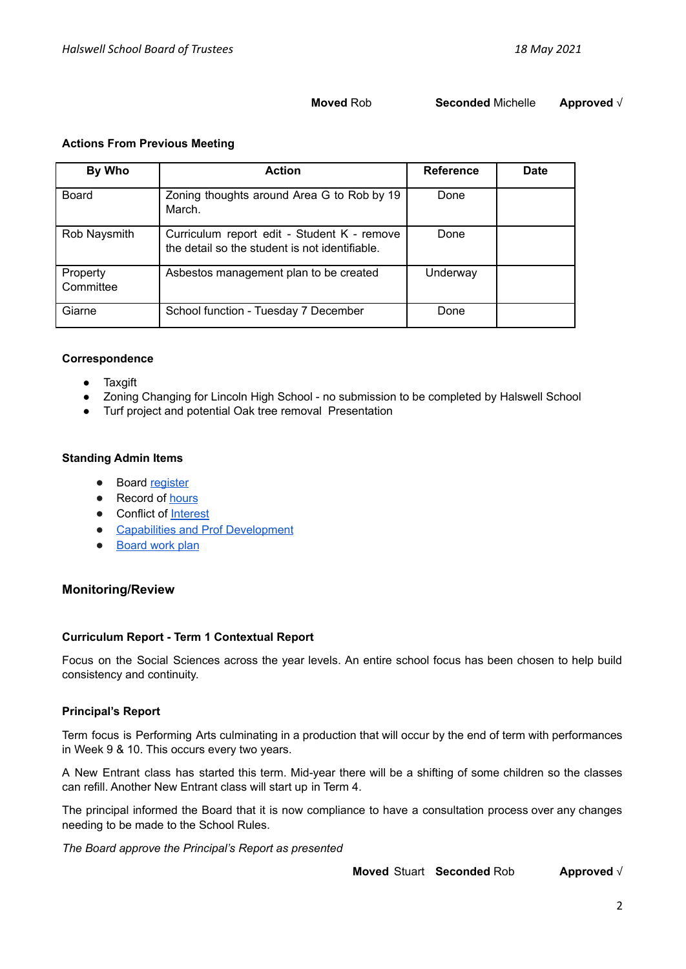## **Moved** Rob **Seconded** Michelle **Approved** √

#### **Actions From Previous Meeting**

| By Who                | <b>Action</b>                                                                                 | <b>Reference</b> | Date |
|-----------------------|-----------------------------------------------------------------------------------------------|------------------|------|
| Board                 | Zoning thoughts around Area G to Rob by 19<br>March.                                          | Done             |      |
| Rob Naysmith          | Curriculum report edit - Student K - remove<br>the detail so the student is not identifiable. | Done             |      |
| Property<br>Committee | Asbestos management plan to be created                                                        | Underway         |      |
| Giarne                | School function - Tuesday 7 December                                                          | Done             |      |

#### **Correspondence**

- Taxgift
- Zoning Changing for Lincoln High School no submission to be completed by Halswell School
- Turf project and potential Oak tree removal Presentation

#### **Standing Admin Items**

- Board [register](https://drive.google.com/open?id=1LgYeP3fbHNJrrdwtKhmni7bUn5KZf6AdawXvp-8GM5I)
- Record of [hours](https://docs.google.com/spreadsheets/d/1ooqHmfuVcjAxJj74l2cyNrLx6E1GWjN2CMAD-VWrSTk/edit#gid=1585903216)
- Conflict of [Interest](https://drive.google.com/open?id=1LpqgUK6iwhrXOSzvrxmLTcgpA-wsuZg7DU-aIw9nGAw)
- **Capabilities and Prof [Development](https://drive.google.com/open?id=1Vq0YrIsDwmndZRHvvGvFtK1YOlEWlifxCfIAxHaVDlo)**
- **[Board](https://docs.google.com/document/d/16WAgjXfZuFQ9Un3Lb7bJ9NQj9tU1J26Koes3jzuU9jQ/edit) work plan**

# **Monitoring/Review**

## **Curriculum Report - Term 1 Contextual Report**

Focus on the Social Sciences across the year levels. An entire school focus has been chosen to help build consistency and continuity.

## **Principal's Report**

Term focus is Performing Arts culminating in a production that will occur by the end of term with performances in Week 9 & 10. This occurs every two years.

A New Entrant class has started this term. Mid-year there will be a shifting of some children so the classes can refill. Another New Entrant class will start up in Term 4.

The principal informed the Board that it is now compliance to have a consultation process over any changes needing to be made to the School Rules.

*The Board approve the Principal's Report as presented*

**Moved** Stuart **Seconded** Rob **Approved** √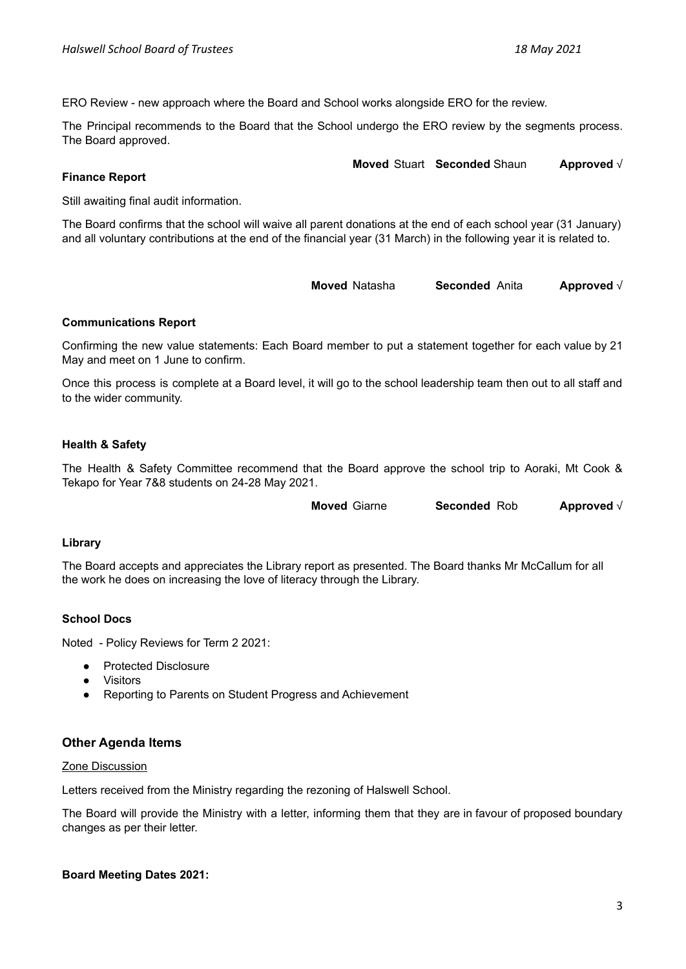ERO Review - new approach where the Board and School works alongside ERO for the review.

The Principal recommends to the Board that the School undergo the ERO review by the segments process. The Board approved.

**Moved** Stuart **Seconded** Shaun **Approved** √

**Finance Report**

Still awaiting final audit information.

The Board confirms that the school will waive all parent donations at the end of each school year (31 January) and all voluntary contributions at the end of the financial year (31 March) in the following year it is related to.

**Moved** Natasha **Seconded** Anita **Approved** √

#### **Communications Report**

Confirming the new value statements: Each Board member to put a statement together for each value by 21 May and meet on 1 June to confirm.

Once this process is complete at a Board level, it will go to the school leadership team then out to all staff and to the wider community.

## **Health & Safety**

The Health & Safety Committee recommend that the Board approve the school trip to Aoraki, Mt Cook & Tekapo for Year 7&8 students on 24-28 May 2021.

**Moved** Giarne **Seconded** Rob **Approved** √

#### **Library**

The Board accepts and appreciates the Library report as presented. The Board thanks Mr McCallum for all the work he does on increasing the love of literacy through the Library.

## **School Docs**

Noted - Policy Reviews for Term 2 2021:

- Protected Disclosure
- **Visitors**
- Reporting to Parents on Student Progress and Achievement

## **Other Agenda Items**

#### Zone Discussion

Letters received from the Ministry regarding the rezoning of Halswell School.

The Board will provide the Ministry with a letter, informing them that they are in favour of proposed boundary changes as per their letter.

#### **Board Meeting Dates 2021:**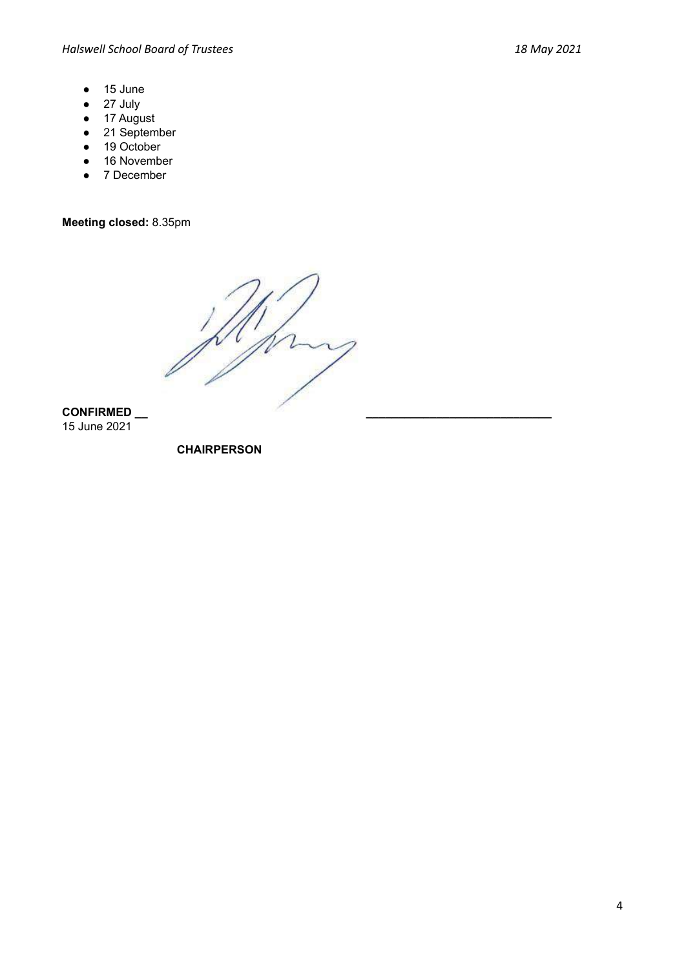- 15 June
- 27 July
- 17 August
- 21 September
- 19 October
- 16 November
- 7 December

**Meeting closed:** 8.35pm

**CONFIRMED \_\_ \_\_\_\_\_\_\_\_\_\_\_\_\_\_\_\_\_\_\_\_\_\_\_\_\_\_\_\_\_** 15 June 2021

**CHAIRPERSON**